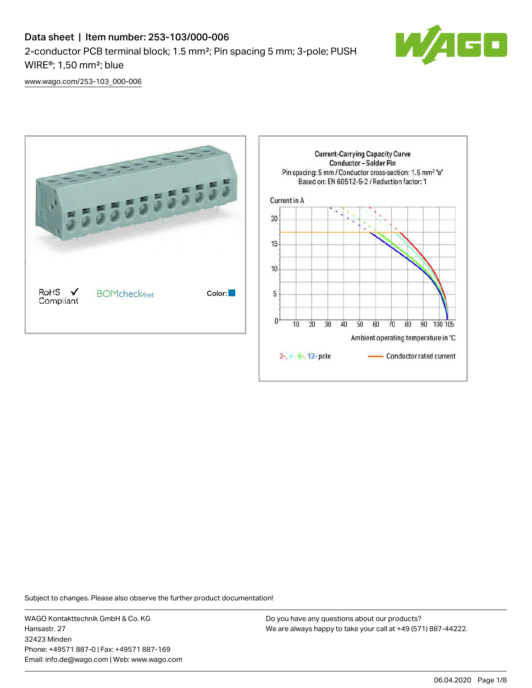## Data sheet | Item number: 253-103/000-006 2-conductor PCB terminal block; 1.5 mm²; Pin spacing 5 mm; 3-pole; PUSH WIRE®; 1,50 mm²; blue



[www.wago.com/253-103\\_000-006](http://www.wago.com/253-103_000-006)



Subject to changes. Please also observe the further product documentation!

WAGO Kontakttechnik GmbH & Co. KG Hansastr. 27 32423 Minden Phone: +49571 887-0 | Fax: +49571 887-169 Email: info.de@wago.com | Web: www.wago.com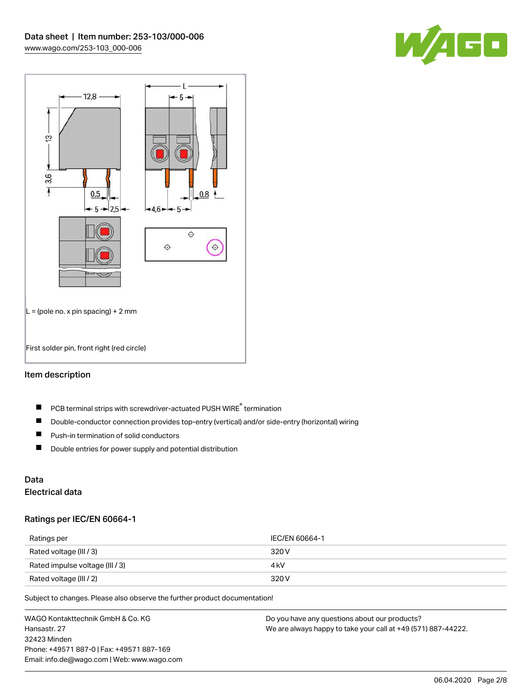



## Item description

- PCB terminal strips with screwdriver-actuated PUSH WIRE® termination  $\blacksquare$
- $\blacksquare$ Double-conductor connection provides top-entry (vertical) and/or side-entry (horizontal) wiring
- $\blacksquare$ Push-in termination of solid conductors
- $\blacksquare$ Double entries for power supply and potential distribution

# Data

## Electrical data

### Ratings per IEC/EN 60664-1

| Ratings per                     | IEC/EN 60664-1 |
|---------------------------------|----------------|
| Rated voltage (III / 3)         | 320 V          |
| Rated impulse voltage (III / 3) | 4 kV           |
| Rated voltage (III / 2)         | 320 V          |

Subject to changes. Please also observe the further product documentation!

WAGO Kontakttechnik GmbH & Co. KG Hansastr. 27 32423 Minden Phone: +49571 887-0 | Fax: +49571 887-169 Email: info.de@wago.com | Web: www.wago.com Do you have any questions about our products? We are always happy to take your call at +49 (571) 887-44222.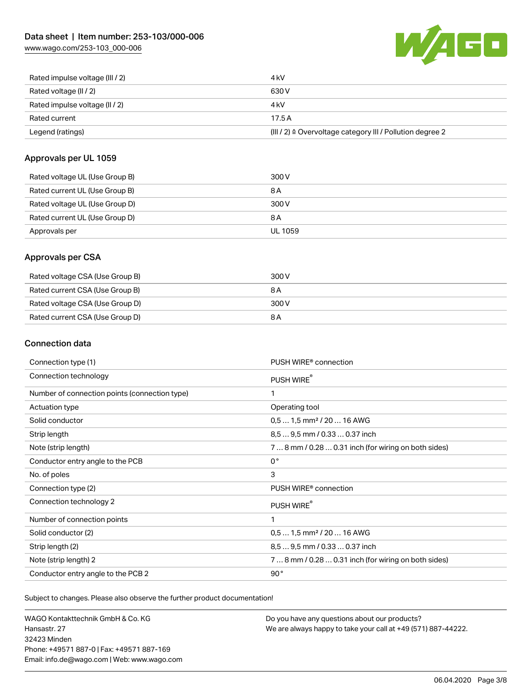[www.wago.com/253-103\\_000-006](http://www.wago.com/253-103_000-006)



| Rated impulse voltage (III / 2) | 4 kV                                                      |
|---------------------------------|-----------------------------------------------------------|
| Rated voltage (II / 2)          | 630 V                                                     |
| Rated impulse voltage (II / 2)  | 4 kV                                                      |
| Rated current                   | 17.5A                                                     |
| Legend (ratings)                | (III / 2) ≙ Overvoltage category III / Pollution degree 2 |

## Approvals per UL 1059

| Rated voltage UL (Use Group B) | 300 V          |
|--------------------------------|----------------|
| Rated current UL (Use Group B) | 8 A            |
| Rated voltage UL (Use Group D) | 300 V          |
| Rated current UL (Use Group D) | 8 A            |
| Approvals per                  | <b>UL 1059</b> |

## Approvals per CSA

| Rated voltage CSA (Use Group B) | 300 V |
|---------------------------------|-------|
| Rated current CSA (Use Group B) | 8 A   |
| Rated voltage CSA (Use Group D) | 300 V |
| Rated current CSA (Use Group D) | 8 A   |

## Connection data

| Connection type (1)                           | PUSH WIRE <sup>®</sup> connection                    |
|-----------------------------------------------|------------------------------------------------------|
| Connection technology                         | PUSH WIRE®                                           |
| Number of connection points (connection type) | 1                                                    |
| Actuation type                                | Operating tool                                       |
| Solid conductor                               | $0.51.5$ mm <sup>2</sup> / 20  16 AWG                |
| Strip length                                  | 8,5  9,5 mm / 0.33  0.37 inch                        |
| Note (strip length)                           | 7  8 mm / 0.28  0.31 inch (for wiring on both sides) |
| Conductor entry angle to the PCB              | $0^{\circ}$                                          |
| No. of poles                                  | 3                                                    |
| Connection type (2)                           | PUSH WIRE <sup>®</sup> connection                    |
| Connection technology 2                       | PUSH WIRE®                                           |
| Number of connection points                   | 1                                                    |
| Solid conductor (2)                           | $0.51.5$ mm <sup>2</sup> / 20  16 AWG                |
| Strip length (2)                              | 8.5  9.5 mm / 0.33  0.37 inch                        |
| Note (strip length) 2                         | 7  8 mm / 0.28  0.31 inch (for wiring on both sides) |
| Conductor entry angle to the PCB 2            | 90°                                                  |

Subject to changes. Please also observe the further product documentation!

WAGO Kontakttechnik GmbH & Co. KG Hansastr. 27 32423 Minden Phone: +49571 887-0 | Fax: +49571 887-169 Email: info.de@wago.com | Web: www.wago.com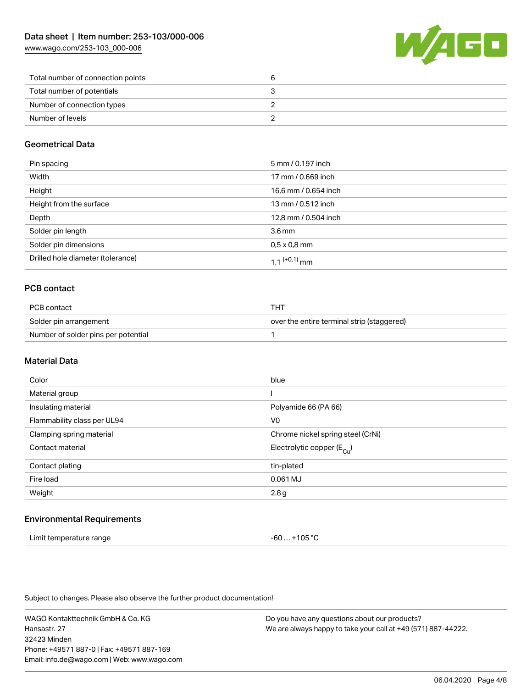[www.wago.com/253-103\\_000-006](http://www.wago.com/253-103_000-006)



| Total number of connection points |  |
|-----------------------------------|--|
| Total number of potentials        |  |
| Number of connection types        |  |
| Number of levels                  |  |

## Geometrical Data

| Pin spacing                       | 5 mm / 0.197 inch    |
|-----------------------------------|----------------------|
| Width                             | 17 mm / 0.669 inch   |
| Height                            | 16,6 mm / 0.654 inch |
| Height from the surface           | 13 mm / 0.512 inch   |
| Depth                             | 12,8 mm / 0.504 inch |
| Solder pin length                 | 3.6 <sub>mm</sub>    |
| Solder pin dimensions             | $0.5 \times 0.8$ mm  |
| Drilled hole diameter (tolerance) | 1 1 $(0.1)$ mm       |

## PCB contact

| PCB contact                         | тнт                                        |
|-------------------------------------|--------------------------------------------|
| Solder pin arrangement              | over the entire terminal strip (staggered) |
| Number of solder pins per potential |                                            |

## Material Data

| Color                       | blue                                  |
|-----------------------------|---------------------------------------|
| Material group              |                                       |
| Insulating material         | Polyamide 66 (PA 66)                  |
| Flammability class per UL94 | V <sub>0</sub>                        |
| Clamping spring material    | Chrome nickel spring steel (CrNi)     |
| Contact material            | Electrolytic copper $(E_{\text{Cl}})$ |
| Contact plating             | tin-plated                            |
| Fire load                   | 0.061 MJ                              |
| Weight                      | 2.8g                                  |
|                             |                                       |

### Environmental Requirements

| Limit temperature range | $-60+105 °C$ |
|-------------------------|--------------|
|-------------------------|--------------|

Subject to changes. Please also observe the further product documentation!

WAGO Kontakttechnik GmbH & Co. KG Hansastr. 27 32423 Minden Phone: +49571 887-0 | Fax: +49571 887-169 Email: info.de@wago.com | Web: www.wago.com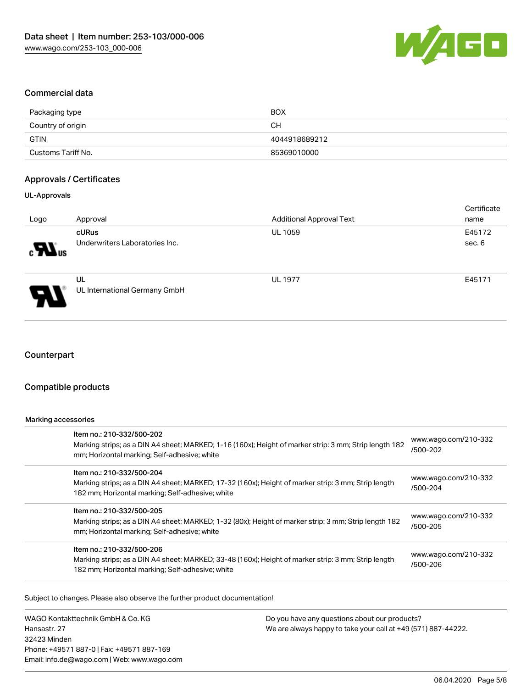

#### Commercial data

| Packaging type     | <b>BOX</b>    |
|--------------------|---------------|
| Country of origin  | <b>CH</b>     |
| GTIN               | 4044918689212 |
| Customs Tariff No. | 85369010000   |

#### Approvals / Certificates

#### UL-Approvals

| Logo                                     | Approval                                | <b>Additional Approval Text</b> | Certificate<br>name |
|------------------------------------------|-----------------------------------------|---------------------------------|---------------------|
| $\boldsymbol{\mathcal{H}}$ <sup>ne</sup> | cURus<br>Underwriters Laboratories Inc. | <b>UL 1059</b>                  | E45172<br>sec. 6    |
| P.                                       | UL<br>UL International Germany GmbH     | <b>UL 1977</b>                  | E45171              |

### **Counterpart**

## Compatible products

#### Marking accessories

| Item no.: 210-332/500-202<br>Marking strips; as a DIN A4 sheet; MARKED; 1-16 (160x); Height of marker strip: 3 mm; Strip length 182<br>mm; Horizontal marking; Self-adhesive; white  | www.wago.com/210-332<br>/500-202 |
|--------------------------------------------------------------------------------------------------------------------------------------------------------------------------------------|----------------------------------|
| Item no.: 210-332/500-204<br>Marking strips; as a DIN A4 sheet; MARKED; 17-32 (160x); Height of marker strip: 3 mm; Strip length<br>182 mm; Horizontal marking; Self-adhesive; white | www.wago.com/210-332<br>/500-204 |
| Item no.: 210-332/500-205<br>Marking strips; as a DIN A4 sheet; MARKED; 1-32 (80x); Height of marker strip: 3 mm; Strip length 182<br>mm; Horizontal marking; Self-adhesive; white   | www.wago.com/210-332<br>/500-205 |
| Item no.: 210-332/500-206<br>Marking strips; as a DIN A4 sheet; MARKED; 33-48 (160x); Height of marker strip: 3 mm; Strip length<br>182 mm; Horizontal marking; Self-adhesive; white | www.wago.com/210-332<br>/500-206 |

Subject to changes. Please also observe the further product documentation!

WAGO Kontakttechnik GmbH & Co. KG Hansastr. 27 32423 Minden Phone: +49571 887-0 | Fax: +49571 887-169 Email: info.de@wago.com | Web: www.wago.com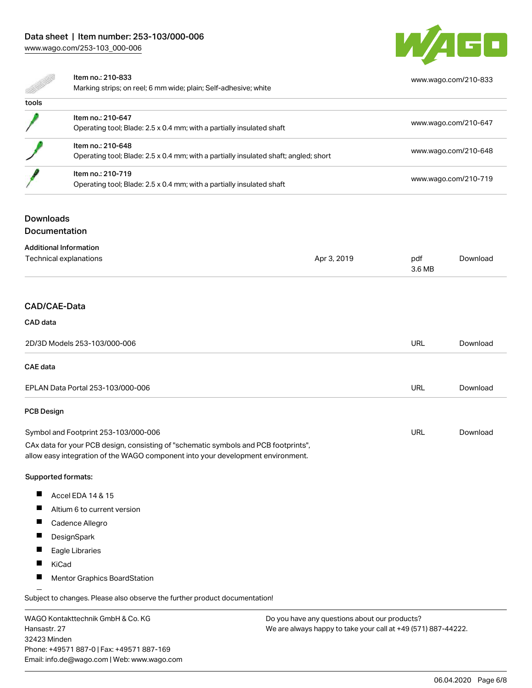## Data sheet | Item number: 253-103/000-006 [www.wago.com/253-103\\_000-006](http://www.wago.com/253-103_000-006)



[www.wago.com/210-833](http://www.wago.com/210-833)

Item no.: 210-833

Marking strips; on reel; 6 mm wide; plain; Self-adhesive; white

| tools |                                                                                                           |                      |
|-------|-----------------------------------------------------------------------------------------------------------|----------------------|
|       | Item no.: 210-647<br>Operating tool; Blade: 2.5 x 0.4 mm; with a partially insulated shaft                | www.wago.com/210-647 |
|       | Item no.: 210-648<br>Operating tool; Blade: 2.5 x 0.4 mm; with a partially insulated shaft; angled; short | www.wago.com/210-648 |
|       | Item no.: 210-719<br>Operating tool; Blade: 2.5 x 0.4 mm; with a partially insulated shaft                | www.wago.com/210-719 |

#### **Downloads**

#### Documentation

| <b>Additional Information</b><br>Technical explanations | Apr 3, 2019 | pdf    | Download |
|---------------------------------------------------------|-------------|--------|----------|
|                                                         |             | 3.6 MB |          |
|                                                         |             |        |          |

## CAD/CAE-Data

# CAD data 2D/3D Models 253-103/000-006 URL [Download](https://www.wago.com/de/d/3D_URLS_253-103_000-006) CAE data EPLAN Data Portal 253-103/000-006 URL [Download](https://www.wago.com/de/d/EPLAN_URLS_253-103%252F000-006) PCB Design URL [Download](https://www.wago.com/de/d/UltraLibrarian_URLS_253-103_000-006)Symbol and Footprint 253-103/000-006 CAx data for your PCB design, consisting of "schematic symbols and PCB footprints", allow easy integration of the WAGO component into your development environment. Supported formats:  $\blacksquare$ Accel EDA 14 & 15

- $\blacksquare$ Altium 6 to current version
- $\blacksquare$ Cadence Allegro
- $\blacksquare$ **DesignSpark**
- $\blacksquare$ Eagle Libraries
- $\blacksquare$ KiCad
- $\blacksquare$ Mentor Graphics BoardStation

Subject to changes. Please also observe the further product documentation!

WAGO Kontakttechnik GmbH & Co. KG Hansastr. 27 32423 Minden Phone: +49571 887-0 | Fax: +49571 887-169 Email: info.de@wago.com | Web: www.wago.com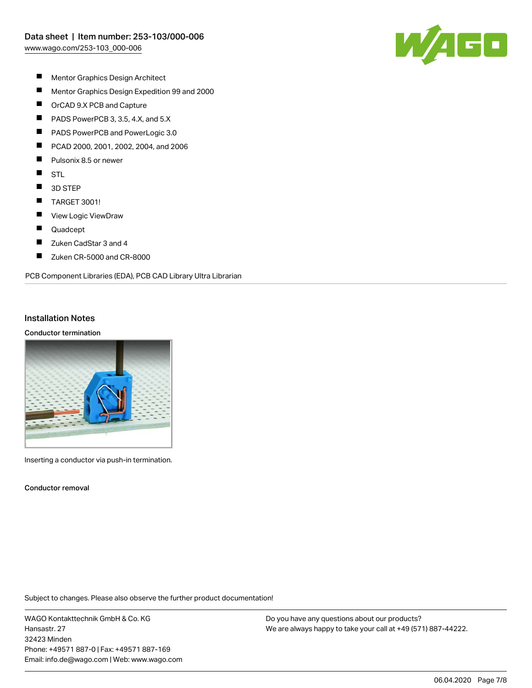

- $\blacksquare$ Mentor Graphics Design Architect
- $\blacksquare$ Mentor Graphics Design Expedition 99 and 2000
- $\blacksquare$ OrCAD 9.X PCB and Capture
- $\blacksquare$ PADS PowerPCB 3, 3.5, 4.X, and 5.X
- П PADS PowerPCB and PowerLogic 3.0
- П PCAD 2000, 2001, 2002, 2004, and 2006
- П Pulsonix 8.5 or newer
- $\blacksquare$ STL
- $\blacksquare$ 3D STEP
- $\blacksquare$ TARGET 3001!
- $\blacksquare$ View Logic ViewDraw
- П Quadcept
- $\blacksquare$ Zuken CadStar 3 and 4
- $\blacksquare$ Zuken CR-5000 and CR-8000

PCB Component Libraries (EDA), PCB CAD Library Ultra Librarian

#### Installation Notes

#### Conductor termination



Inserting a conductor via push-in termination.

Conductor removal

Subject to changes. Please also observe the further product documentation!

WAGO Kontakttechnik GmbH & Co. KG Hansastr. 27 32423 Minden Phone: +49571 887-0 | Fax: +49571 887-169 Email: info.de@wago.com | Web: www.wago.com